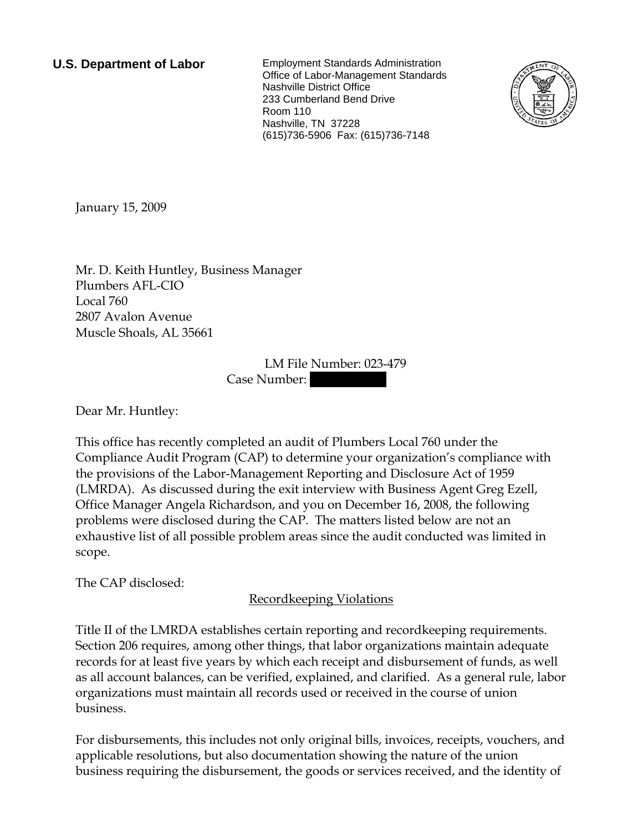**U.S. Department of Labor** Employment Standards Administration Office of Labor-Management Standards Nashville District Office 233 Cumberland Bend Drive Room 110 Nashville, TN 37228 (615)736-5906 Fax: (615)736-7148



<span id="page-0-0"></span>January 15, 2009

[Mr.](#page-0-0) [D. Keith](#page-0-0) [Huntley](#page-0-0), [Business Manager](#page-0-0)  [Plumbers AFL-CIO](#page-0-0)  [Local 760](#page-0-0)  [2807 Avalon Avenue](#page-0-0)  [Muscle Shoals, AL 35661](#page-0-0)

> LM File Number: [023-479](#page-0-0)  Case Number:

Dear [Mr.](#page-0-0) [Huntley:](#page-0-0)

This office has recently completed an audit of [Plumbers Local 760](#page-0-0) under the Compliance Audit Program (CAP) to determine your organization's compliance with the provisions of the Labor-Management Reporting and Disclosure Act of 1959 (LMRDA). As discussed during the exit interview with [Business Agent Greg Ezell,](#page-0-0)  [Office Manager Angela Richardson, and you](#page-0-0) on [December 16, 2008](#page-0-0), the following problems were disclosed during the CAP. The matters listed below are not an exhaustive list of all possible problem areas since the audit conducted was limited in scope.

The CAP disclosed:

Recordkeeping Violations

Title II of the LMRDA establishes certain reporting and recordkeeping requirements. Section 206 requires, among other things, that labor organizations maintain adequate records for at least five years by which each receipt and disbursement of funds, as well as all account balances, can be verified, explained, and clarified. As a general rule, labor organizations must maintain all records used or received in the course of union business.

For disbursements, this includes not only original bills, invoices, receipts, vouchers, and applicable resolutions, but also documentation showing the nature of the union business requiring the disbursement, the goods or services received, and the identity of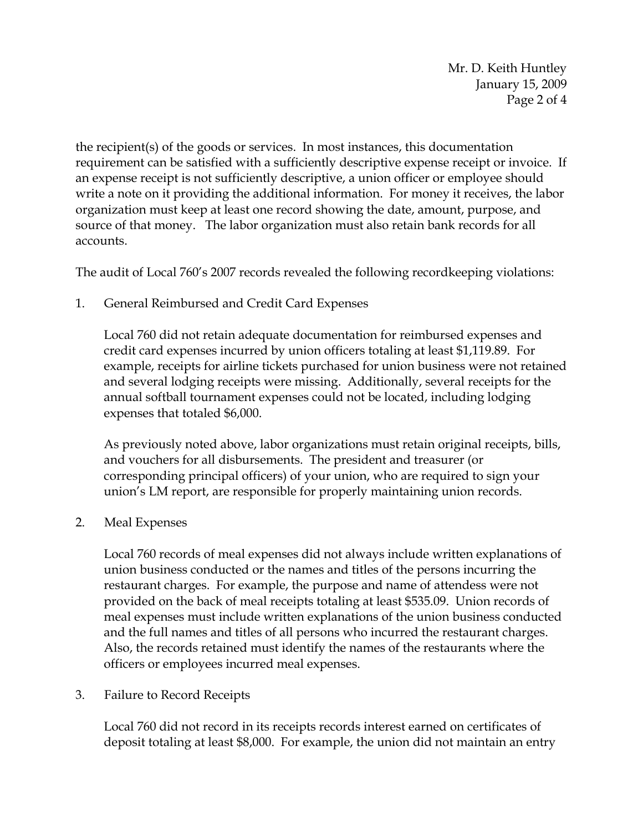Mr. D. Keith Huntley January 15, 2009 Page 2 of 4

the recipient(s) of the goods or services. In most instances, this documentation requirement can be satisfied with a sufficiently descriptive expense receipt or invoice. If an expense receipt is not sufficiently descriptive, a union officer or employee should write a note on it providing the additional information. For money it receives, the labor organization must keep at least one record showing the date, amount, purpose, and source of that money. The labor organization must also retain bank records for all accounts.

The audit of Local 760's 2007 records revealed the following recordkeeping violations:

1. General Reimbursed and Credit Card Expenses

Local 760 did not retain adequate documentation for reimbursed expenses and credit card expenses incurred by union officers totaling at least \$1,119.89. For example, receipts for airline tickets purchased for union business were not retained and several lodging receipts were missing. Additionally, several receipts for the annual softball tournament expenses could not be located, including lodging expenses that totaled \$6,000.

As previously noted above, labor organizations must retain original receipts, bills, and vouchers for all disbursements. The president and treasurer (or corresponding principal officers) of your union, who are required to sign your union's LM report, are responsible for properly maintaining union records.

2. Meal Expenses

Local 760 records of meal expenses did not always include written explanations of union business conducted or the names and titles of the persons incurring the restaurant charges. For example, the purpose and name of attendess were not provided on the back of meal receipts totaling at least \$535.09. Union records of meal expenses must include written explanations of the union business conducted and the full names and titles of all persons who incurred the restaurant charges. Also, the records retained must identify the names of the restaurants where the officers or employees incurred meal expenses.

## 3. Failure to Record Receipts

Local 760 did not record in its receipts records interest earned on certificates of deposit totaling at least \$8,000. For example, the union did not maintain an entry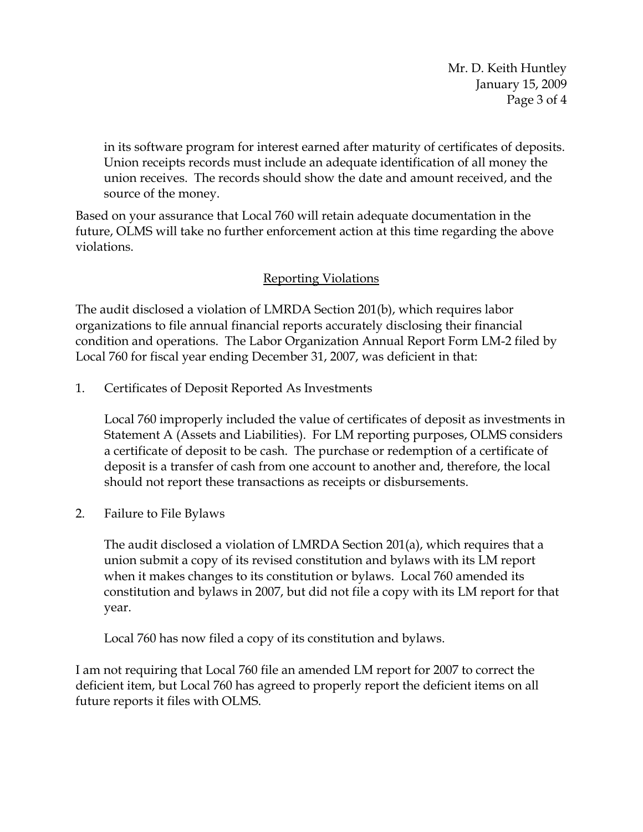Mr. D. Keith Huntley January 15, 2009 Page 3 of 4

in its software program for interest earned after maturity of certificates of deposits. Union receipts records must include an adequate identification of all money the union receives. The records should show the date and amount received, and the source of the money.

Based on your assurance that Local 760 will retain adequate documentation in the future, OLMS will take no further enforcement action at this time regarding the above violations.

## Reporting Violations

The audit disclosed a violation of LMRDA Section 201(b), which requires labor organizations to file annual financial reports accurately disclosing their financial condition and operations. The Labor Organization Annual Report Form LM-2 filed by Local 760 for fiscal year ending December 31, 2007, was deficient in that:

1. Certificates of Deposit Reported As Investments

Local 760 improperly included the value of certificates of deposit as investments in Statement A (Assets and Liabilities). For LM reporting purposes, OLMS considers a certificate of deposit to be cash. The purchase or redemption of a certificate of deposit is a transfer of cash from one account to another and, therefore, the local should not report these transactions as receipts or disbursements.

2. Failure to File Bylaws

The audit disclosed a violation of LMRDA Section 201(a), which requires that a union submit a copy of its revised constitution and bylaws with its LM report when it makes changes to its constitution or bylaws. Local 760 amended its constitution and bylaws in 2007, but did not file a copy with its LM report for that year.

Local 760 has now filed a copy of its constitution and bylaws.

I am not requiring that Local 760 file an amended LM report for 2007 to correct the deficient item, but Local 760 has agreed to properly report the deficient items on all future reports it files with OLMS.